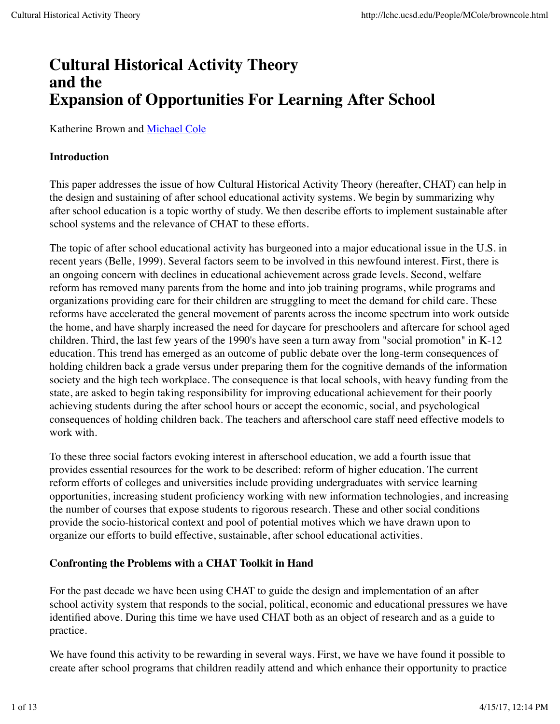# **Cultural Historical Activity Theory and the Expansion of Opportunities For Learning After School**

Katherine Brown and Michael Cole

## **Introduction**

This paper addresses the issue of how Cultural Historical Activity Theory (hereafter, CHAT) can help in the design and sustaining of after school educational activity systems. We begin by summarizing why after school education is a topic worthy of study. We then describe efforts to implement sustainable after school systems and the relevance of CHAT to these efforts.

The topic of after school educational activity has burgeoned into a major educational issue in the U.S. in recent years (Belle, 1999). Several factors seem to be involved in this newfound interest. First, there is an ongoing concern with declines in educational achievement across grade levels. Second, welfare reform has removed many parents from the home and into job training programs, while programs and organizations providing care for their children are struggling to meet the demand for child care. These reforms have accelerated the general movement of parents across the income spectrum into work outside the home, and have sharply increased the need for daycare for preschoolers and aftercare for school aged children. Third, the last few years of the 1990's have seen a turn away from "social promotion" in K-12 education. This trend has emerged as an outcome of public debate over the long-term consequences of holding children back a grade versus under preparing them for the cognitive demands of the information society and the high tech workplace. The consequence is that local schools, with heavy funding from the state, are asked to begin taking responsibility for improving educational achievement for their poorly achieving students during the after school hours or accept the economic, social, and psychological consequences of holding children back. The teachers and afterschool care staff need effective models to work with.

To these three social factors evoking interest in afterschool education, we add a fourth issue that provides essential resources for the work to be described: reform of higher education. The current reform efforts of colleges and universities include providing undergraduates with service learning opportunities, increasing student proficiency working with new information technologies, and increasing the number of courses that expose students to rigorous research. These and other social conditions provide the socio-historical context and pool of potential motives which we have drawn upon to organize our efforts to build effective, sustainable, after school educational activities.

## **Confronting the Problems with a CHAT Toolkit in Hand**

For the past decade we have been using CHAT to guide the design and implementation of an after school activity system that responds to the social, political, economic and educational pressures we have identified above. During this time we have used CHAT both as an object of research and as a guide to practice.

We have found this activity to be rewarding in several ways. First, we have we have found it possible to create after school programs that children readily attend and which enhance their opportunity to practice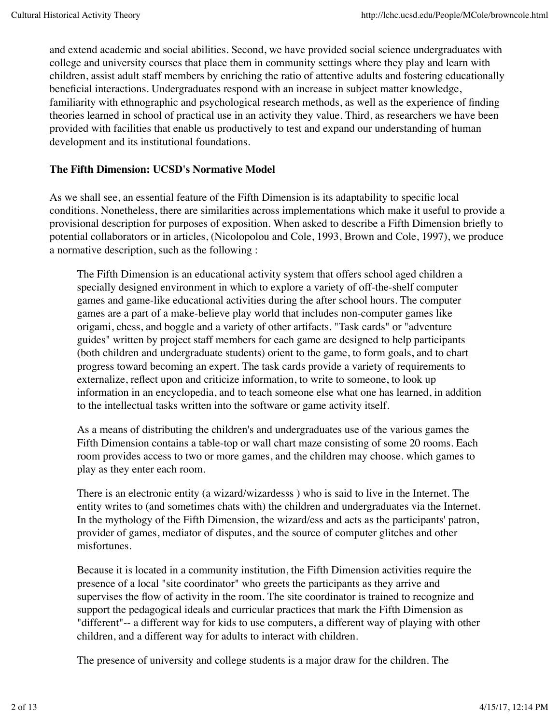and extend academic and social abilities. Second, we have provided social science undergraduates with college and university courses that place them in community settings where they play and learn with children, assist adult staff members by enriching the ratio of attentive adults and fostering educationally beneficial interactions. Undergraduates respond with an increase in subject matter knowledge, familiarity with ethnographic and psychological research methods, as well as the experience of finding theories learned in school of practical use in an activity they value. Third, as researchers we have been provided with facilities that enable us productively to test and expand our understanding of human development and its institutional foundations.

#### **The Fifth Dimension: UCSD's Normative Model**

As we shall see, an essential feature of the Fifth Dimension is its adaptability to specific local conditions. Nonetheless, there are similarities across implementations which make it useful to provide a provisional description for purposes of exposition. When asked to describe a Fifth Dimension briefly to potential collaborators or in articles, (Nicolopolou and Cole, 1993, Brown and Cole, 1997), we produce a normative description, such as the following :

The Fifth Dimension is an educational activity system that offers school aged children a specially designed environment in which to explore a variety of off-the-shelf computer games and game-like educational activities during the after school hours. The computer games are a part of a make-believe play world that includes non-computer games like origami, chess, and boggle and a variety of other artifacts. "Task cards" or "adventure guides" written by project staff members for each game are designed to help participants (both children and undergraduate students) orient to the game, to form goals, and to chart progress toward becoming an expert. The task cards provide a variety of requirements to externalize, reflect upon and criticize information, to write to someone, to look up information in an encyclopedia, and to teach someone else what one has learned, in addition to the intellectual tasks written into the software or game activity itself.

As a means of distributing the children's and undergraduates use of the various games the Fifth Dimension contains a table-top or wall chart maze consisting of some 20 rooms. Each room provides access to two or more games, and the children may choose. which games to play as they enter each room.

There is an electronic entity (a wizard/wizardesss ) who is said to live in the Internet. The entity writes to (and sometimes chats with) the children and undergraduates via the Internet. In the mythology of the Fifth Dimension, the wizard/ess and acts as the participants' patron, provider of games, mediator of disputes, and the source of computer glitches and other misfortunes.

Because it is located in a community institution, the Fifth Dimension activities require the presence of a local "site coordinator" who greets the participants as they arrive and supervises the flow of activity in the room. The site coordinator is trained to recognize and support the pedagogical ideals and curricular practices that mark the Fifth Dimension as "different"-- a different way for kids to use computers, a different way of playing with other children, and a different way for adults to interact with children.

The presence of university and college students is a major draw for the children. The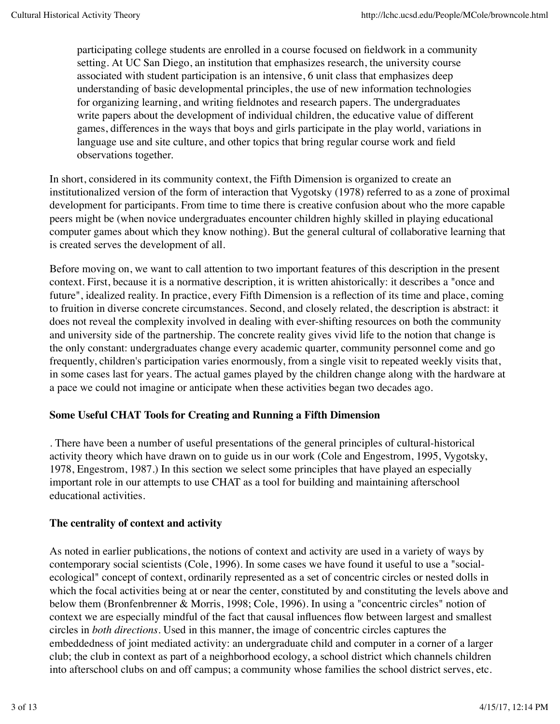participating college students are enrolled in a course focused on fieldwork in a community setting. At UC San Diego, an institution that emphasizes research, the university course associated with student participation is an intensive, 6 unit class that emphasizes deep understanding of basic developmental principles, the use of new information technologies for organizing learning, and writing fieldnotes and research papers. The undergraduates write papers about the development of individual children, the educative value of different games, differences in the ways that boys and girls participate in the play world, variations in language use and site culture, and other topics that bring regular course work and field observations together.

In short, considered in its community context, the Fifth Dimension is organized to create an institutionalized version of the form of interaction that Vygotsky (1978) referred to as a zone of proximal development for participants. From time to time there is creative confusion about who the more capable peers might be (when novice undergraduates encounter children highly skilled in playing educational computer games about which they know nothing). But the general cultural of collaborative learning that is created serves the development of all.

Before moving on, we want to call attention to two important features of this description in the present context. First, because it is a normative description, it is written ahistorically: it describes a "once and future", idealized reality. In practice, every Fifth Dimension is a reflection of its time and place, coming to fruition in diverse concrete circumstances. Second, and closely related, the description is abstract: it does not reveal the complexity involved in dealing with ever-shifting resources on both the community and university side of the partnership. The concrete reality gives vivid life to the notion that change is the only constant: undergraduates change every academic quarter, community personnel come and go frequently, children's participation varies enormously, from a single visit to repeated weekly visits that, in some cases last for years. The actual games played by the children change along with the hardware at a pace we could not imagine or anticipate when these activities began two decades ago.

## **Some Useful CHAT Tools for Creating and Running a Fifth Dimension**

. There have been a number of useful presentations of the general principles of cultural-historical activity theory which have drawn on to guide us in our work (Cole and Engestrom, 1995, Vygotsky, 1978, Engestrom, 1987.) In this section we select some principles that have played an especially important role in our attempts to use CHAT as a tool for building and maintaining afterschool educational activities.

#### **The centrality of context and activity**

As noted in earlier publications, the notions of context and activity are used in a variety of ways by contemporary social scientists (Cole, 1996). In some cases we have found it useful to use a "socialecological" concept of context, ordinarily represented as a set of concentric circles or nested dolls in which the focal activities being at or near the center, constituted by and constituting the levels above and below them (Bronfenbrenner & Morris, 1998; Cole, 1996). In using a "concentric circles" notion of context we are especially mindful of the fact that causal influences flow between largest and smallest circles in *both directions*. Used in this manner, the image of concentric circles captures the embeddedness of joint mediated activity: an undergraduate child and computer in a corner of a larger club; the club in context as part of a neighborhood ecology, a school district which channels children into afterschool clubs on and off campus; a community whose families the school district serves, etc.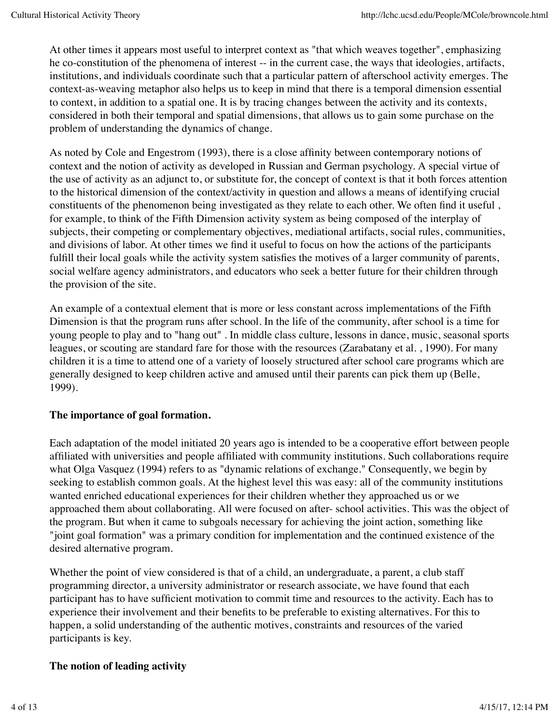At other times it appears most useful to interpret context as "that which weaves together", emphasizing he co-constitution of the phenomena of interest -- in the current case, the ways that ideologies, artifacts, institutions, and individuals coordinate such that a particular pattern of afterschool activity emerges. The context-as-weaving metaphor also helps us to keep in mind that there is a temporal dimension essential to context, in addition to a spatial one. It is by tracing changes between the activity and its contexts, considered in both their temporal and spatial dimensions, that allows us to gain some purchase on the problem of understanding the dynamics of change.

As noted by Cole and Engestrom (1993), there is a close affinity between contemporary notions of context and the notion of activity as developed in Russian and German psychology. A special virtue of the use of activity as an adjunct to, or substitute for, the concept of context is that it both forces attention to the historical dimension of the context/activity in question and allows a means of identifying crucial constituents of the phenomenon being investigated as they relate to each other. We often find it useful , for example, to think of the Fifth Dimension activity system as being composed of the interplay of subjects, their competing or complementary objectives, mediational artifacts, social rules, communities, and divisions of labor. At other times we find it useful to focus on how the actions of the participants fulfill their local goals while the activity system satisfies the motives of a larger community of parents, social welfare agency administrators, and educators who seek a better future for their children through the provision of the site.

An example of a contextual element that is more or less constant across implementations of the Fifth Dimension is that the program runs after school. In the life of the community, after school is a time for young people to play and to "hang out" . In middle class culture, lessons in dance, music, seasonal sports leagues, or scouting are standard fare for those with the resources (Zarabatany et al. , 1990). For many children it is a time to attend one of a variety of loosely structured after school care programs which are generally designed to keep children active and amused until their parents can pick them up (Belle, 1999).

## **The importance of goal formation.**

Each adaptation of the model initiated 20 years ago is intended to be a cooperative effort between people affiliated with universities and people affiliated with community institutions. Such collaborations require what Olga Vasquez (1994) refers to as "dynamic relations of exchange." Consequently, we begin by seeking to establish common goals. At the highest level this was easy: all of the community institutions wanted enriched educational experiences for their children whether they approached us or we approached them about collaborating. All were focused on after- school activities. This was the object of the program. But when it came to subgoals necessary for achieving the joint action, something like "joint goal formation" was a primary condition for implementation and the continued existence of the desired alternative program.

Whether the point of view considered is that of a child, an undergraduate, a parent, a club staff programming director, a university administrator or research associate, we have found that each participant has to have sufficient motivation to commit time and resources to the activity. Each has to experience their involvement and their benefits to be preferable to existing alternatives. For this to happen, a solid understanding of the authentic motives, constraints and resources of the varied participants is key.

## **The notion of leading activity**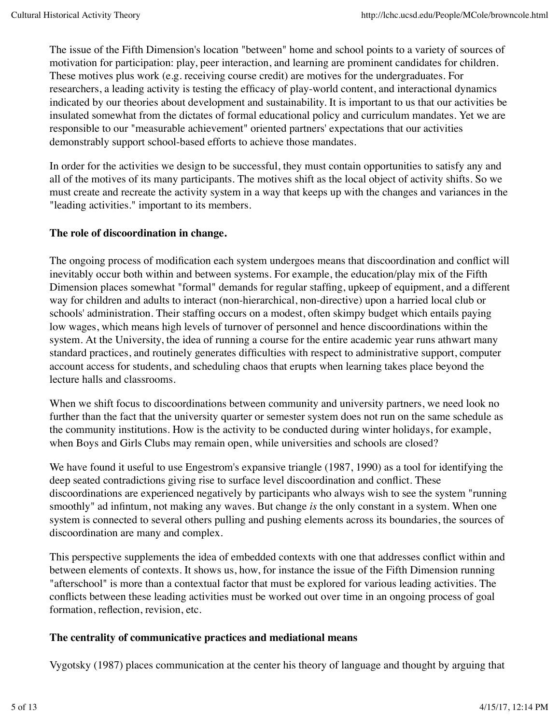The issue of the Fifth Dimension's location "between" home and school points to a variety of sources of motivation for participation: play, peer interaction, and learning are prominent candidates for children. These motives plus work (e.g. receiving course credit) are motives for the undergraduates. For researchers, a leading activity is testing the efficacy of play-world content, and interactional dynamics indicated by our theories about development and sustainability. It is important to us that our activities be insulated somewhat from the dictates of formal educational policy and curriculum mandates. Yet we are responsible to our "measurable achievement" oriented partners' expectations that our activities demonstrably support school-based efforts to achieve those mandates.

In order for the activities we design to be successful, they must contain opportunities to satisfy any and all of the motives of its many participants. The motives shift as the local object of activity shifts. So we must create and recreate the activity system in a way that keeps up with the changes and variances in the "leading activities." important to its members.

## **The role of discoordination in change.**

The ongoing process of modification each system undergoes means that discoordination and conflict will inevitably occur both within and between systems. For example, the education/play mix of the Fifth Dimension places somewhat "formal" demands for regular staffing, upkeep of equipment, and a different way for children and adults to interact (non-hierarchical, non-directive) upon a harried local club or schools' administration. Their staffing occurs on a modest, often skimpy budget which entails paying low wages, which means high levels of turnover of personnel and hence discoordinations within the system. At the University, the idea of running a course for the entire academic year runs athwart many standard practices, and routinely generates difficulties with respect to administrative support, computer account access for students, and scheduling chaos that erupts when learning takes place beyond the lecture halls and classrooms.

When we shift focus to discoordinations between community and university partners, we need look no further than the fact that the university quarter or semester system does not run on the same schedule as the community institutions. How is the activity to be conducted during winter holidays, for example, when Boys and Girls Clubs may remain open, while universities and schools are closed?

We have found it useful to use Engestrom's expansive triangle (1987, 1990) as a tool for identifying the deep seated contradictions giving rise to surface level discoordination and conflict. These discoordinations are experienced negatively by participants who always wish to see the system "running smoothly" ad infintum, not making any waves. But change *is* the only constant in a system. When one system is connected to several others pulling and pushing elements across its boundaries, the sources of discoordination are many and complex.

This perspective supplements the idea of embedded contexts with one that addresses conflict within and between elements of contexts. It shows us, how, for instance the issue of the Fifth Dimension running "afterschool" is more than a contextual factor that must be explored for various leading activities. The conflicts between these leading activities must be worked out over time in an ongoing process of goal formation, reflection, revision, etc.

## **The centrality of communicative practices and mediational means**

Vygotsky (1987) places communication at the center his theory of language and thought by arguing that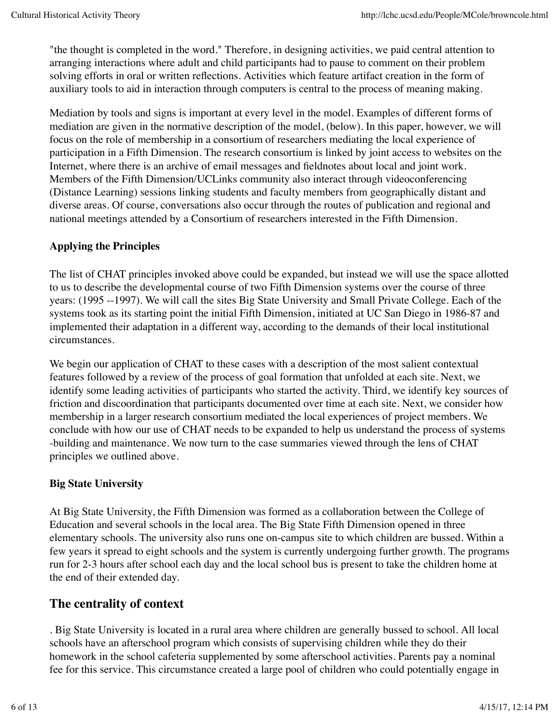"the thought is completed in the word." Therefore, in designing activities, we paid central attention to arranging interactions where adult and child participants had to pause to comment on their problem solving efforts in oral or written reflections. Activities which feature artifact creation in the form of auxiliary tools to aid in interaction through computers is central to the process of meaning making.

Mediation by tools and signs is important at every level in the model. Examples of different forms of mediation are given in the normative description of the model, (below). In this paper, however, we will focus on the role of membership in a consortium of researchers mediating the local experience of participation in a Fifth Dimension. The research consortium is linked by joint access to websites on the Internet, where there is an archive of email messages and fieldnotes about local and joint work. Members of the Fifth Dimension/UCLinks community also interact through videoconferencing (Distance Learning) sessions linking students and faculty members from geographically distant and diverse areas. Of course, conversations also occur through the routes of publication and regional and national meetings attended by a Consortium of researchers interested in the Fifth Dimension.

# **Applying the Principles**

The list of CHAT principles invoked above could be expanded, but instead we will use the space allotted to us to describe the developmental course of two Fifth Dimension systems over the course of three years: (1995 --1997). We will call the sites Big State University and Small Private College. Each of the systems took as its starting point the initial Fifth Dimension, initiated at UC San Diego in 1986-87 and implemented their adaptation in a different way, according to the demands of their local institutional circumstances.

We begin our application of CHAT to these cases with a description of the most salient contextual features followed by a review of the process of goal formation that unfolded at each site. Next, we identify some leading activities of participants who started the activity. Third, we identify key sources of friction and discoordination that participants documented over time at each site. Next, we consider how membership in a larger research consortium mediated the local experiences of project members. We conclude with how our use of CHAT needs to be expanded to help us understand the process of systems -building and maintenance. We now turn to the case summaries viewed through the lens of CHAT principles we outlined above.

## **Big State University**

At Big State University, the Fifth Dimension was formed as a collaboration between the College of Education and several schools in the local area. The Big State Fifth Dimension opened in three elementary schools. The university also runs one on-campus site to which children are bussed. Within a few years it spread to eight schools and the system is currently undergoing further growth. The programs run for 2-3 hours after school each day and the local school bus is present to take the children home at the end of their extended day.

# **The centrality of context**

. Big State University is located in a rural area where children are generally bussed to school. All local schools have an afterschool program which consists of supervising children while they do their homework in the school cafeteria supplemented by some afterschool activities. Parents pay a nominal fee for this service. This circumstance created a large pool of children who could potentially engage in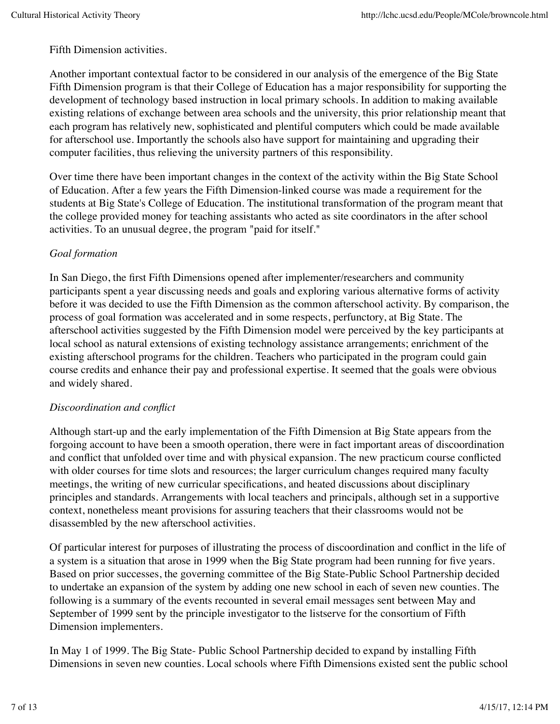Fifth Dimension activities.

Another important contextual factor to be considered in our analysis of the emergence of the Big State Fifth Dimension program is that their College of Education has a major responsibility for supporting the development of technology based instruction in local primary schools. In addition to making available existing relations of exchange between area schools and the university, this prior relationship meant that each program has relatively new, sophisticated and plentiful computers which could be made available for afterschool use. Importantly the schools also have support for maintaining and upgrading their computer facilities, thus relieving the university partners of this responsibility.

Over time there have been important changes in the context of the activity within the Big State School of Education. After a few years the Fifth Dimension-linked course was made a requirement for the students at Big State's College of Education. The institutional transformation of the program meant that the college provided money for teaching assistants who acted as site coordinators in the after school activities. To an unusual degree, the program "paid for itself."

## *Goal formation*

In San Diego, the first Fifth Dimensions opened after implementer/researchers and community participants spent a year discussing needs and goals and exploring various alternative forms of activity before it was decided to use the Fifth Dimension as the common afterschool activity. By comparison, the process of goal formation was accelerated and in some respects, perfunctory, at Big State. The afterschool activities suggested by the Fifth Dimension model were perceived by the key participants at local school as natural extensions of existing technology assistance arrangements; enrichment of the existing afterschool programs for the children. Teachers who participated in the program could gain course credits and enhance their pay and professional expertise. It seemed that the goals were obvious and widely shared.

## *Discoordination and conflict*

Although start-up and the early implementation of the Fifth Dimension at Big State appears from the forgoing account to have been a smooth operation, there were in fact important areas of discoordination and conflict that unfolded over time and with physical expansion. The new practicum course conflicted with older courses for time slots and resources; the larger curriculum changes required many faculty meetings, the writing of new curricular specifications, and heated discussions about disciplinary principles and standards. Arrangements with local teachers and principals, although set in a supportive context, nonetheless meant provisions for assuring teachers that their classrooms would not be disassembled by the new afterschool activities.

Of particular interest for purposes of illustrating the process of discoordination and conflict in the life of a system is a situation that arose in 1999 when the Big State program had been running for five years. Based on prior successes, the governing committee of the Big State-Public School Partnership decided to undertake an expansion of the system by adding one new school in each of seven new counties. The following is a summary of the events recounted in several email messages sent between May and September of 1999 sent by the principle investigator to the listserve for the consortium of Fifth Dimension implementers.

In May 1 of 1999. The Big State- Public School Partnership decided to expand by installing Fifth Dimensions in seven new counties. Local schools where Fifth Dimensions existed sent the public school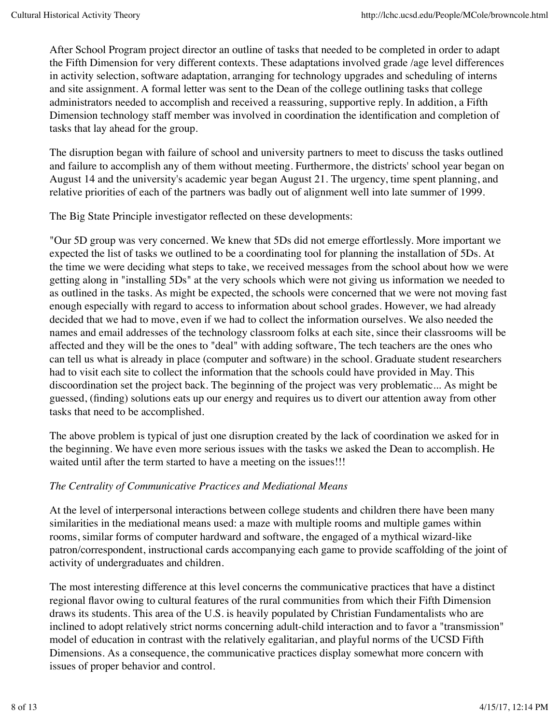After School Program project director an outline of tasks that needed to be completed in order to adapt the Fifth Dimension for very different contexts. These adaptations involved grade /age level differences in activity selection, software adaptation, arranging for technology upgrades and scheduling of interns and site assignment. A formal letter was sent to the Dean of the college outlining tasks that college administrators needed to accomplish and received a reassuring, supportive reply. In addition, a Fifth Dimension technology staff member was involved in coordination the identification and completion of tasks that lay ahead for the group.

The disruption began with failure of school and university partners to meet to discuss the tasks outlined and failure to accomplish any of them without meeting. Furthermore, the districts' school year began on August 14 and the university's academic year began August 21. The urgency, time spent planning, and relative priorities of each of the partners was badly out of alignment well into late summer of 1999.

The Big State Principle investigator reflected on these developments:

"Our 5D group was very concerned. We knew that 5Ds did not emerge effortlessly. More important we expected the list of tasks we outlined to be a coordinating tool for planning the installation of 5Ds. At the time we were deciding what steps to take, we received messages from the school about how we were getting along in "installing 5Ds" at the very schools which were not giving us information we needed to as outlined in the tasks. As might be expected, the schools were concerned that we were not moving fast enough especially with regard to access to information about school grades. However, we had already decided that we had to move, even if we had to collect the information ourselves. We also needed the names and email addresses of the technology classroom folks at each site, since their classrooms will be affected and they will be the ones to "deal" with adding software, The tech teachers are the ones who can tell us what is already in place (computer and software) in the school. Graduate student researchers had to visit each site to collect the information that the schools could have provided in May. This discoordination set the project back. The beginning of the project was very problematic... As might be guessed, (finding) solutions eats up our energy and requires us to divert our attention away from other tasks that need to be accomplished.

The above problem is typical of just one disruption created by the lack of coordination we asked for in the beginning. We have even more serious issues with the tasks we asked the Dean to accomplish. He waited until after the term started to have a meeting on the issues!!!

## *The Centrality of Communicative Practices and Mediational Means*

At the level of interpersonal interactions between college students and children there have been many similarities in the mediational means used: a maze with multiple rooms and multiple games within rooms, similar forms of computer hardward and software, the engaged of a mythical wizard-like patron/correspondent, instructional cards accompanying each game to provide scaffolding of the joint of activity of undergraduates and children.

The most interesting difference at this level concerns the communicative practices that have a distinct regional flavor owing to cultural features of the rural communities from which their Fifth Dimension draws its students. This area of the U.S. is heavily populated by Christian Fundamentalists who are inclined to adopt relatively strict norms concerning adult-child interaction and to favor a "transmission" model of education in contrast with the relatively egalitarian, and playful norms of the UCSD Fifth Dimensions. As a consequence, the communicative practices display somewhat more concern with issues of proper behavior and control.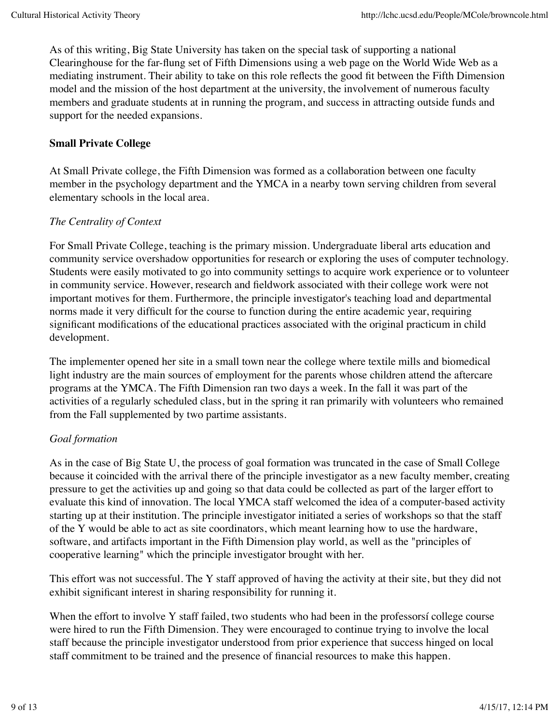As of this writing, Big State University has taken on the special task of supporting a national Clearinghouse for the far-flung set of Fifth Dimensions using a web page on the World Wide Web as a mediating instrument. Their ability to take on this role reflects the good fit between the Fifth Dimension model and the mission of the host department at the university, the involvement of numerous faculty members and graduate students at in running the program, and success in attracting outside funds and support for the needed expansions.

## **Small Private College**

At Small Private college, the Fifth Dimension was formed as a collaboration between one faculty member in the psychology department and the YMCA in a nearby town serving children from several elementary schools in the local area.

## *The Centrality of Context*

For Small Private College, teaching is the primary mission. Undergraduate liberal arts education and community service overshadow opportunities for research or exploring the uses of computer technology. Students were easily motivated to go into community settings to acquire work experience or to volunteer in community service. However, research and fieldwork associated with their college work were not important motives for them. Furthermore, the principle investigator's teaching load and departmental norms made it very difficult for the course to function during the entire academic year, requiring significant modifications of the educational practices associated with the original practicum in child development.

The implementer opened her site in a small town near the college where textile mills and biomedical light industry are the main sources of employment for the parents whose children attend the aftercare programs at the YMCA. The Fifth Dimension ran two days a week. In the fall it was part of the activities of a regularly scheduled class, but in the spring it ran primarily with volunteers who remained from the Fall supplemented by two partime assistants.

## *Goal formation*

As in the case of Big State U, the process of goal formation was truncated in the case of Small College because it coincided with the arrival there of the principle investigator as a new faculty member, creating pressure to get the activities up and going so that data could be collected as part of the larger effort to evaluate this kind of innovation. The local YMCA staff welcomed the idea of a computer-based activity starting up at their institution. The principle investigator initiated a series of workshops so that the staff of the Y would be able to act as site coordinators, which meant learning how to use the hardware, software, and artifacts important in the Fifth Dimension play world, as well as the "principles of cooperative learning" which the principle investigator brought with her.

This effort was not successful. The Y staff approved of having the activity at their site, but they did not exhibit significant interest in sharing responsibility for running it.

When the effort to involve Y staff failed, two students who had been in the professorsi college course were hired to run the Fifth Dimension. They were encouraged to continue trying to involve the local staff because the principle investigator understood from prior experience that success hinged on local staff commitment to be trained and the presence of financial resources to make this happen.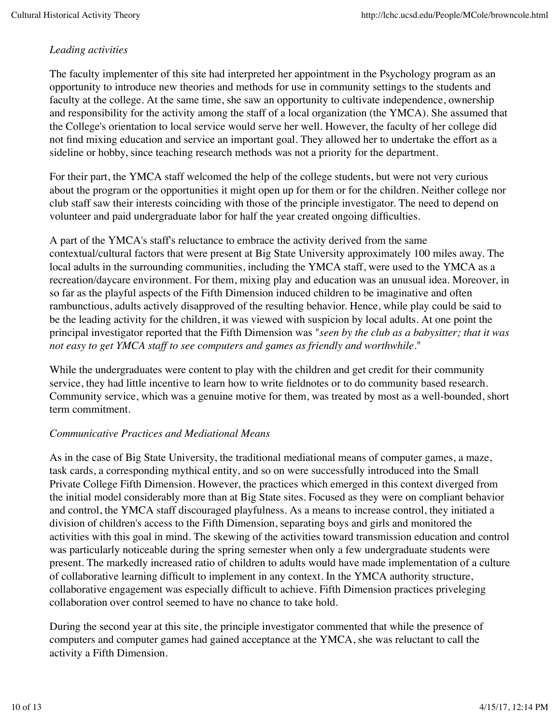## *Leading activities*

The faculty implementer of this site had interpreted her appointment in the Psychology program as an opportunity to introduce new theories and methods for use in community settings to the students and faculty at the college. At the same time, she saw an opportunity to cultivate independence, ownership and responsibility for the activity among the staff of a local organization (the YMCA). She assumed that the College's orientation to local service would serve her well. However, the faculty of her college did not find mixing education and service an important goal. They allowed her to undertake the effort as a sideline or hobby, since teaching research methods was not a priority for the department.

For their part, the YMCA staff welcomed the help of the college students, but were not very curious about the program or the opportunities it might open up for them or for the children. Neither college nor club staff saw their interests coinciding with those of the principle investigator. The need to depend on volunteer and paid undergraduate labor for half the year created ongoing difficulties.

A part of the YMCA's staff's reluctance to embrace the activity derived from the same contextual/cultural factors that were present at Big State University approximately 100 miles away. The local adults in the surrounding communities, including the YMCA staff, were used to the YMCA as a recreation/daycare environment. For them, mixing play and education was an unusual idea. Moreover, in so far as the playful aspects of the Fifth Dimension induced children to be imaginative and often rambunctious, adults actively disapproved of the resulting behavior. Hence, while play could be said to be the leading activity for the children, it was viewed with suspicion by local adults. At one point the principal investigator reported that the Fifth Dimension was "*seen by the club as a babysitter; that it was not easy to get YMCA staff to see computers and games as friendly and worthwhile.*"

While the undergraduates were content to play with the children and get credit for their community service, they had little incentive to learn how to write fieldnotes or to do community based research. Community service, which was a genuine motive for them, was treated by most as a well-bounded, short term commitment.

## *Communicative Practices and Mediational Means*

As in the case of Big State University, the traditional mediational means of computer games, a maze, task cards, a corresponding mythical entity, and so on were successfully introduced into the Small Private College Fifth Dimension. However, the practices which emerged in this context diverged from the initial model considerably more than at Big State sites. Focused as they were on compliant behavior and control, the YMCA staff discouraged playfulness. As a means to increase control, they initiated a division of children's access to the Fifth Dimension, separating boys and girls and monitored the activities with this goal in mind. The skewing of the activities toward transmission education and control was particularly noticeable during the spring semester when only a few undergraduate students were present. The markedly increased ratio of children to adults would have made implementation of a culture of collaborative learning difficult to implement in any context. In the YMCA authority structure, collaborative engagement was especially difficult to achieve. Fifth Dimension practices priveleging collaboration over control seemed to have no chance to take hold.

During the second year at this site, the principle investigator commented that while the presence of computers and computer games had gained acceptance at the YMCA, she was reluctant to call the activity a Fifth Dimension.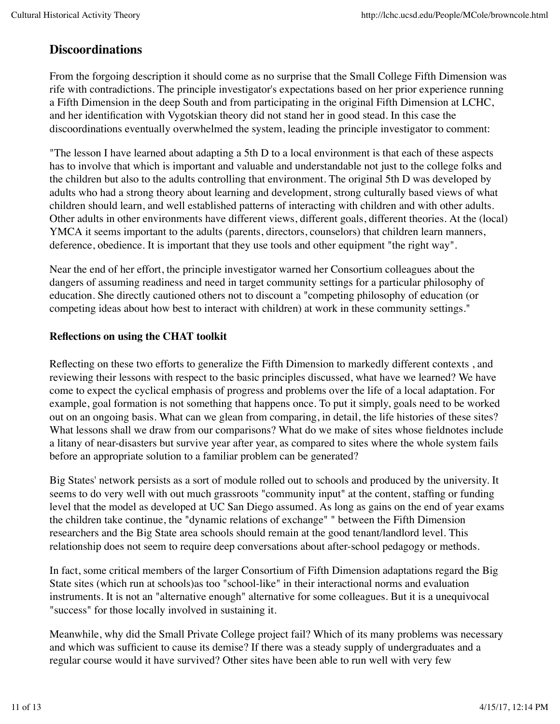# **Discoordinations**

From the forgoing description it should come as no surprise that the Small College Fifth Dimension was rife with contradictions. The principle investigator's expectations based on her prior experience running a Fifth Dimension in the deep South and from participating in the original Fifth Dimension at LCHC, and her identification with Vygotskian theory did not stand her in good stead. In this case the discoordinations eventually overwhelmed the system, leading the principle investigator to comment:

"The lesson I have learned about adapting a 5th D to a local environment is that each of these aspects has to involve that which is important and valuable and understandable not just to the college folks and the children but also to the adults controlling that environment. The original 5th D was developed by adults who had a strong theory about learning and development, strong culturally based views of what children should learn, and well established patterns of interacting with children and with other adults. Other adults in other environments have different views, different goals, different theories. At the (local) YMCA it seems important to the adults (parents, directors, counselors) that children learn manners, deference, obedience. It is important that they use tools and other equipment "the right way".

Near the end of her effort, the principle investigator warned her Consortium colleagues about the dangers of assuming readiness and need in target community settings for a particular philosophy of education. She directly cautioned others not to discount a "competing philosophy of education (or competing ideas about how best to interact with children) at work in these community settings."

#### **Reflections on using the CHAT toolkit**

Reflecting on these two efforts to generalize the Fifth Dimension to markedly different contexts , and reviewing their lessons with respect to the basic principles discussed, what have we learned? We have come to expect the cyclical emphasis of progress and problems over the life of a local adaptation. For example, goal formation is not something that happens once. To put it simply, goals need to be worked out on an ongoing basis. What can we glean from comparing, in detail, the life histories of these sites? What lessons shall we draw from our comparisons? What do we make of sites whose fieldnotes include a litany of near-disasters but survive year after year, as compared to sites where the whole system fails before an appropriate solution to a familiar problem can be generated?

Big States' network persists as a sort of module rolled out to schools and produced by the university. It seems to do very well with out much grassroots "community input" at the content, staffing or funding level that the model as developed at UC San Diego assumed. As long as gains on the end of year exams the children take continue, the "dynamic relations of exchange" " between the Fifth Dimension researchers and the Big State area schools should remain at the good tenant/landlord level. This relationship does not seem to require deep conversations about after-school pedagogy or methods.

In fact, some critical members of the larger Consortium of Fifth Dimension adaptations regard the Big State sites (which run at schools)as too "school-like" in their interactional norms and evaluation instruments. It is not an "alternative enough" alternative for some colleagues. But it is a unequivocal "success" for those locally involved in sustaining it.

Meanwhile, why did the Small Private College project fail? Which of its many problems was necessary and which was sufficient to cause its demise? If there was a steady supply of undergraduates and a regular course would it have survived? Other sites have been able to run well with very few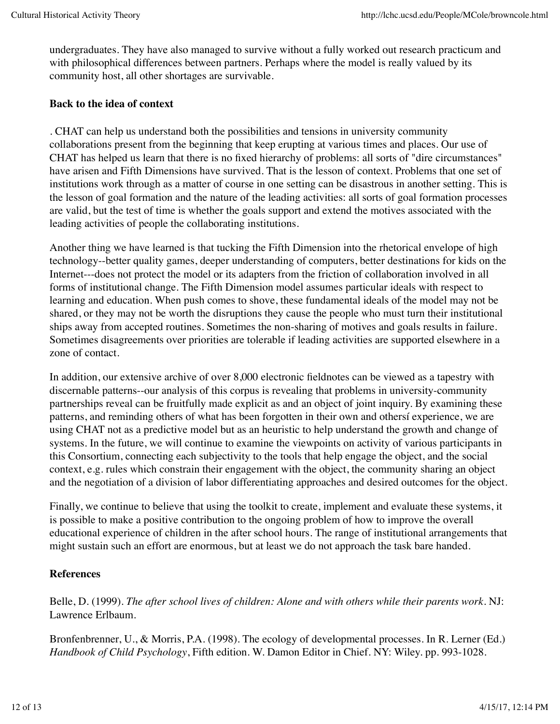undergraduates. They have also managed to survive without a fully worked out research practicum and with philosophical differences between partners. Perhaps where the model is really valued by its community host, all other shortages are survivable.

#### **Back to the idea of context**

. CHAT can help us understand both the possibilities and tensions in university community collaborations present from the beginning that keep erupting at various times and places. Our use of CHAT has helped us learn that there is no fixed hierarchy of problems: all sorts of "dire circumstances" have arisen and Fifth Dimensions have survived. That is the lesson of context. Problems that one set of institutions work through as a matter of course in one setting can be disastrous in another setting. This is the lesson of goal formation and the nature of the leading activities: all sorts of goal formation processes are valid, but the test of time is whether the goals support and extend the motives associated with the leading activities of people the collaborating institutions.

Another thing we have learned is that tucking the Fifth Dimension into the rhetorical envelope of high technology--better quality games, deeper understanding of computers, better destinations for kids on the Internet---does not protect the model or its adapters from the friction of collaboration involved in all forms of institutional change. The Fifth Dimension model assumes particular ideals with respect to learning and education. When push comes to shove, these fundamental ideals of the model may not be shared, or they may not be worth the disruptions they cause the people who must turn their institutional ships away from accepted routines. Sometimes the non-sharing of motives and goals results in failure. Sometimes disagreements over priorities are tolerable if leading activities are supported elsewhere in a zone of contact.

In addition, our extensive archive of over 8,000 electronic fieldnotes can be viewed as a tapestry with discernable patterns--our analysis of this corpus is revealing that problems in university-community partnerships reveal can be fruitfully made explicit as and an object of joint inquiry. By examining these patterns, and reminding others of what has been forgotten in their own and othersí experience, we are using CHAT not as a predictive model but as an heuristic to help understand the growth and change of systems. In the future, we will continue to examine the viewpoints on activity of various participants in this Consortium, connecting each subjectivity to the tools that help engage the object, and the social context, e.g. rules which constrain their engagement with the object, the community sharing an object and the negotiation of a division of labor differentiating approaches and desired outcomes for the object.

Finally, we continue to believe that using the toolkit to create, implement and evaluate these systems, it is possible to make a positive contribution to the ongoing problem of how to improve the overall educational experience of children in the after school hours. The range of institutional arrangements that might sustain such an effort are enormous, but at least we do not approach the task bare handed.

## **References**

Belle, D. (1999). *The after school lives of children: Alone and with others while their parents work*. NJ: Lawrence Erlbaum.

Bronfenbrenner, U., & Morris, P.A. (1998). The ecology of developmental processes. In R. Lerner (Ed.) *Handbook of Child Psychology*, Fifth edition. W. Damon Editor in Chief. NY: Wiley. pp. 993-1028.